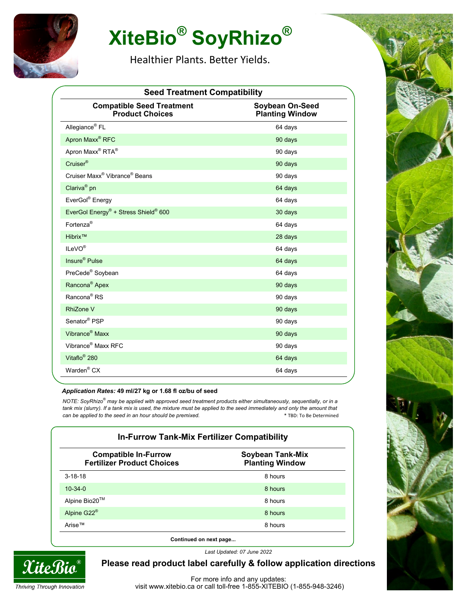

# **XiteBio® SoyRhizo®**

Healthier Plants. Better Yields.

| <b>Seed Treatment Compatibility</b>                          |                                           |  |
|--------------------------------------------------------------|-------------------------------------------|--|
| <b>Compatible Seed Treatment</b><br><b>Product Choices</b>   | Soybean On-Seed<br><b>Planting Window</b> |  |
| Allegiance <sup>®</sup> FL                                   | 64 days                                   |  |
| Apron Maxx <sup>®</sup> RFC                                  | 90 days                                   |  |
| Apron Maxx <sup>®</sup> RTA <sup>®</sup>                     | 90 days                                   |  |
| Cruiser <sup>®</sup>                                         | 90 days                                   |  |
| Cruiser Maxx <sup>®</sup> Vibrance <sup>®</sup> Beans        | 90 days                                   |  |
| Clariva <sup>®</sup> pn                                      | 64 days                                   |  |
| EverGol® Energy                                              | 64 days                                   |  |
| EverGol Energy <sup>®</sup> + Stress Shield <sup>®</sup> 600 | 30 days                                   |  |
| Fortenza <sup>®</sup>                                        | 64 days                                   |  |
| Hibrix™                                                      | 28 days                                   |  |
| ILeVO <sup>®</sup>                                           | 64 days                                   |  |
| Insure <sup>®</sup> Pulse                                    | 64 days                                   |  |
| PreCede <sup>®</sup> Soybean                                 | 64 days                                   |  |
| Rancona <sup>®</sup> Apex                                    | 90 days                                   |  |
| Rancona <sup>®</sup> RS                                      | 90 days                                   |  |
| <b>RhiZone V</b>                                             | 90 days                                   |  |
| Senator <sup>®</sup> PSP                                     | 90 days                                   |  |
| Vibrance <sup>®</sup> Maxx                                   | 90 days                                   |  |
| Vibrance <sup>®</sup> Maxx RFC                               | 90 days                                   |  |
| Vitaflo <sup>®</sup> 280                                     | 64 days                                   |  |
| Warden <sup>®</sup> CX                                       | 64 days                                   |  |

#### *Application Rates:* **49 ml/27 kg or 1.68 fl oz/bu of seed**

*NOTE: SoyRhizo® may be applied with approved seed treatment products either simultaneously, sequentially, or in a*  tank mix (slurry). If a tank mix is used, the mixture must be applied to the seed immediately and only the amount that *can be applied to the seed in an hour should be premixed.* The set of the set of the Septermined of the seed in an hour should be premixed.

| <b>Compatible In-Furrow</b><br><b>Fertilizer Product Choices</b> | <b>Soybean Tank-Mix</b><br><b>Planting Window</b> |
|------------------------------------------------------------------|---------------------------------------------------|
| $3 - 18 - 18$                                                    | 8 hours                                           |
| $10 - 34 - 0$                                                    | 8 hours                                           |
| Alpine Bio20™                                                    | 8 hours                                           |
| Alpine G22 <sup>®</sup>                                          | 8 hours                                           |
| Arise™                                                           | 8 hours                                           |

*Last Updated: 07 June 2022*



**Please read product label carefully & follow application directions**

For more info and any updates: visit www.xitebio.ca or call toll-free 1-855-XITEBIO (1-855-948-3246)